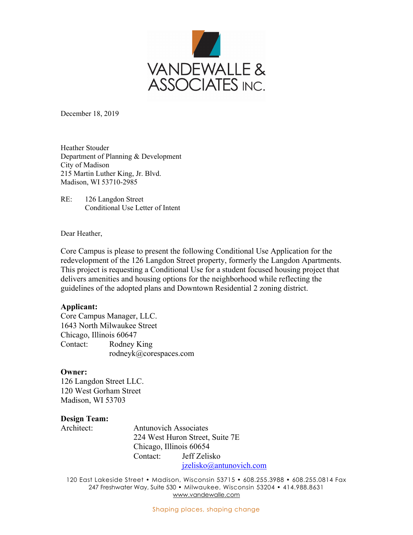

December 18, 2019

Heather Stouder Department of Planning & Development City of Madison 215 Martin Luther King, Jr. Blvd. Madison, WI 53710-2985

RE: 126 Langdon Street Conditional Use Letter of Intent

Dear Heather,

Core Campus is please to present the following Conditional Use Application for the redevelopment of the 126 Langdon Street property, formerly the Langdon Apartments. This project is requesting a Conditional Use for a student focused housing project that delivers amenities and housing options for the neighborhood while reflecting the guidelines of the adopted plans and Downtown Residential 2 zoning district.

### **Applicant:**

Core Campus Manager, LLC. 1643 North Milwaukee Street Chicago, Illinois 60647 Contact: Rodney King rodneyk@corespaces.com

### **Owner:**

126 Langdon Street LLC. 120 West Gorham Street Madison, WI 53703

### **Design Team:**

Architect: Antunovich Associates 224 West Huron Street, Suite 7E Chicago, Illinois 60654 Contact: Jeff Zelisko jzelisko@antunovich.com

120 East Lakeside Street • Madison, Wisconsin 53715 • 608.255.3988 • 608.255.0814 Fax 247 Freshwater Way, Suite 530 • Milwaukee, Wisconsin 53204 • 414.988.8631 www.vandewalle.com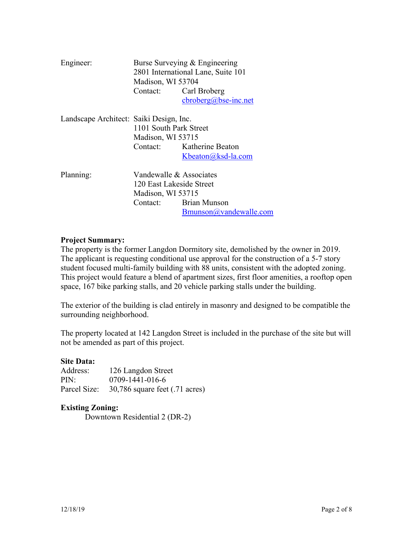| Engineer:                               | Madison, WI 53704<br>Contact: Carl Broberg                               | Burse Surveying & Engineering<br>2801 International Lane, Suite 101<br>$cbroberg(a)$ bse-inc.net |
|-----------------------------------------|--------------------------------------------------------------------------|--------------------------------------------------------------------------------------------------|
| Landscape Architect: Saiki Design, Inc. | 1101 South Park Street<br>Madison, WI 53715                              | Contact: Katherine Beaton<br>Kbeaton@ksd-la.com                                                  |
| Planning:                               | Vandewalle & Associates<br>120 East Lakeside Street<br>Madison, WI 53715 | Contact: Brian Munson<br>Bmunson@vandewalle.com                                                  |

## **Project Summary:**

The property is the former Langdon Dormitory site, demolished by the owner in 2019. The applicant is requesting conditional use approval for the construction of a 5-7 story student focused multi-family building with 88 units, consistent with the adopted zoning. This project would feature a blend of apartment sizes, first floor amenities, a rooftop open space, 167 bike parking stalls, and 20 vehicle parking stalls under the building.

The exterior of the building is clad entirely in masonry and designed to be compatible the surrounding neighborhood.

The property located at 142 Langdon Street is included in the purchase of the site but will not be amended as part of this project.

# **Site Data:**

Address: 126 Langdon Street PIN: 0709-1441-016-6 Parcel Size: 30,786 square feet (.71 acres)

### **Existing Zoning:**

Downtown Residential 2 (DR-2)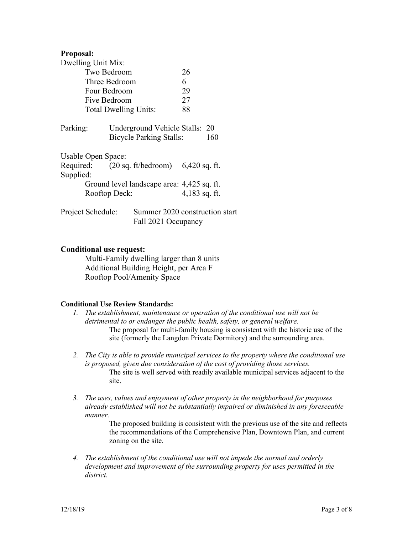## **Proposal:**

| Dwelling Unit Mix:           |  |                                                                  |                 |     |
|------------------------------|--|------------------------------------------------------------------|-----------------|-----|
| Two Bedroom                  |  |                                                                  | 26              |     |
| Three Bedroom                |  |                                                                  | 6               |     |
| Four Bedroom                 |  |                                                                  | 29              |     |
| Five Bedroom                 |  |                                                                  | 27              |     |
| <b>Total Dwelling Units:</b> |  |                                                                  | 88              |     |
| Parking:                     |  | Underground Vehicle Stalls: 20<br><b>Bicycle Parking Stalls:</b> |                 | 160 |
| Usable Open Space:           |  |                                                                  |                 |     |
| Supplied:                    |  | Required: $(20 \text{ sq. ft/bedroom})$ 6,420 sq. ft.            |                 |     |
|                              |  | Ground level landscape area: 4,425 sq. ft.                       |                 |     |
| Rooftop Deck:                |  |                                                                  | $4,183$ sq. ft. |     |
| Project Schedule:            |  | Summer 2020 construction start<br>Fall 2021 Occupancy            |                 |     |

## **Conditional use request:**

 Multi-Family dwelling larger than 8 units Additional Building Height, per Area F Rooftop Pool/Amenity Space

### **Conditional Use Review Standards:**

- *1. The establishment, maintenance or operation of the conditional use will not be detrimental to or endanger the public health, safety, or general welfare.*  The proposal for multi-family housing is consistent with the historic use of the site (formerly the Langdon Private Dormitory) and the surrounding area.
- *2. The City is able to provide municipal services to the property where the conditional use is proposed, given due consideration of the cost of providing those services.*  The site is well served with readily available municipal services adjacent to the site.
- *3. The uses, values and enjoyment of other property in the neighborhood for purposes already established will not be substantially impaired or diminished in any foreseeable manner.*

The proposed building is consistent with the previous use of the site and reflects the recommendations of the Comprehensive Plan, Downtown Plan, and current zoning on the site.

*4. The establishment of the conditional use will not impede the normal and orderly development and improvement of the surrounding property for uses permitted in the district.*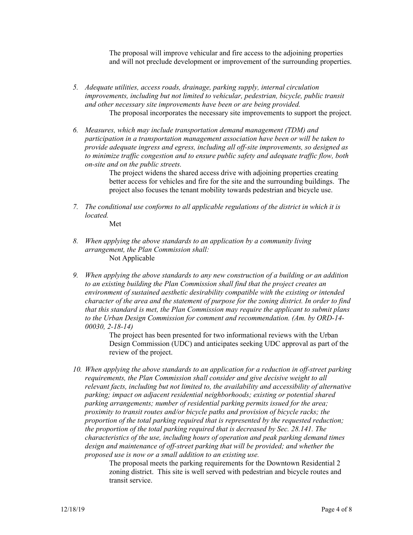The proposal will improve vehicular and fire access to the adjoining properties and will not preclude development or improvement of the surrounding properties.

- *5. Adequate utilities, access roads, drainage, parking supply, internal circulation improvements, including but not limited to vehicular, pedestrian, bicycle, public transit and other necessary site improvements have been or are being provided.*  The proposal incorporates the necessary site improvements to support the project.
- *6. Measures, which may include transportation demand management (TDM) and participation in a transportation management association have been or will be taken to provide adequate ingress and egress, including all off-site improvements, so designed as to minimize traffic congestion and to ensure public safety and adequate traffic flow, both on-site and on the public streets.*

The project widens the shared access drive with adjoining properties creating better access for vehicles and fire for the site and the surrounding buildings. The project also focuses the tenant mobility towards pedestrian and bicycle use.

*7. The conditional use conforms to all applicable regulations of the district in which it is located.* 

Met

- *8. When applying the above standards to an application by a community living arrangement, the Plan Commission shall:*  Not Applicable
- *9. When applying the above standards to any new construction of a building or an addition to an existing building the Plan Commission shall find that the project creates an environment of sustained aesthetic desirability compatible with the existing or intended character of the area and the statement of purpose for the zoning district. In order to find that this standard is met, the Plan Commission may require the applicant to submit plans to the Urban Design Commission for comment and recommendation. (Am. by ORD-14- 00030, 2-18-14)*

The project has been presented for two informational reviews with the Urban Design Commission (UDC) and anticipates seeking UDC approval as part of the review of the project.

*10. When applying the above standards to an application for a reduction in off-street parking requirements, the Plan Commission shall consider and give decisive weight to all relevant facts, including but not limited to, the availability and accessibility of alternative parking; impact on adjacent residential neighborhoods; existing or potential shared parking arrangements; number of residential parking permits issued for the area; proximity to transit routes and/or bicycle paths and provision of bicycle racks; the proportion of the total parking required that is represented by the requested reduction; the proportion of the total parking required that is decreased by Sec. 28.141. The characteristics of the use, including hours of operation and peak parking demand times design and maintenance of off-street parking that will be provided; and whether the proposed use is now or a small addition to an existing use.* 

The proposal meets the parking requirements for the Downtown Residential 2 zoning district. This site is well served with pedestrian and bicycle routes and transit service.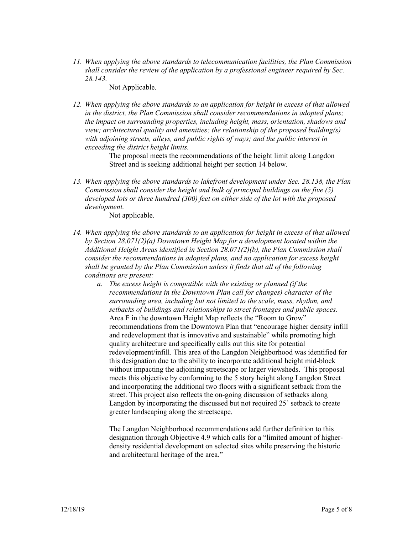*11. When applying the above standards to telecommunication facilities, the Plan Commission shall consider the review of the application by a professional engineer required by Sec. 28.143.* 

Not Applicable.

*12. When applying the above standards to an application for height in excess of that allowed in the district, the Plan Commission shall consider recommendations in adopted plans; the impact on surrounding properties, including height, mass, orientation, shadows and view; architectural quality and amenities; the relationship of the proposed building(s) with adjoining streets, alleys, and public rights of ways; and the public interest in exceeding the district height limits.* 

> The proposal meets the recommendations of the height limit along Langdon Street and is seeking additional height per section 14 below.

*13. When applying the above standards to lakefront development under Sec. 28.138, the Plan Commission shall consider the height and bulk of principal buildings on the five (5) developed lots or three hundred (300) feet on either side of the lot with the proposed development.* 

Not applicable.

- *14. When applying the above standards to an application for height in excess of that allowed by Section 28.071(2)(a) Downtown Height Map for a development located within the Additional Height Areas identified in Section 28.071(2)(b), the Plan Commission shall consider the recommendations in adopted plans, and no application for excess height shall be granted by the Plan Commission unless it finds that all of the following conditions are present:* 
	- *a. The excess height is compatible with the existing or planned (if the recommendations in the Downtown Plan call for changes) character of the surrounding area, including but not limited to the scale, mass, rhythm, and setbacks of buildings and relationships to street frontages and public spaces.*  Area F in the downtown Height Map reflects the "Room to Grow" recommendations from the Downtown Plan that "encourage higher density infill and redevelopment that is innovative and sustainable" while promoting high quality architecture and specifically calls out this site for potential redevelopment/infill. This area of the Langdon Neighborhood was identified for this designation due to the ability to incorporate additional height mid-block without impacting the adjoining streetscape or larger viewsheds. This proposal meets this objective by conforming to the 5 story height along Langdon Street and incorporating the additional two floors with a significant setback from the street. This project also reflects the on-going discussion of setbacks along Langdon by incorporating the discussed but not required 25' setback to create greater landscaping along the streetscape.

The Langdon Neighborhood recommendations add further definition to this designation through Objective 4.9 which calls for a "limited amount of higherdensity residential development on selected sites while preserving the historic and architectural heritage of the area."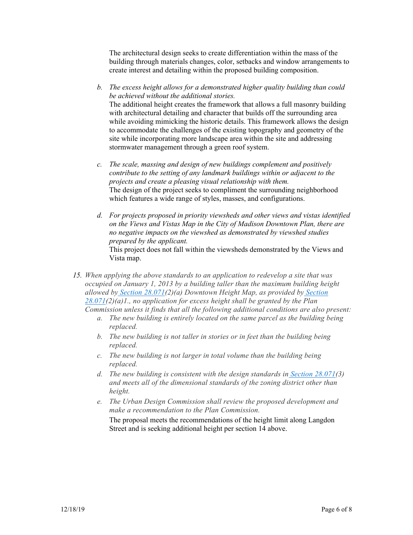The architectural design seeks to create differentiation within the mass of the building through materials changes, color, setbacks and window arrangements to create interest and detailing within the proposed building composition.

- *b. The excess height allows for a demonstrated higher quality building than could be achieved without the additional stories.*  The additional height creates the framework that allows a full masonry building with architectural detailing and character that builds off the surrounding area while avoiding mimicking the historic details. This framework allows the design to accommodate the challenges of the existing topography and geometry of the site while incorporating more landscape area within the site and addressing stormwater management through a green roof system.
- *c. The scale, massing and design of new buildings complement and positively contribute to the setting of any landmark buildings within or adjacent to the projects and create a pleasing visual relationship with them.*  The design of the project seeks to compliment the surrounding neighborhood which features a wide range of styles, masses, and configurations.
- *d. For projects proposed in priority viewsheds and other views and vistas identified on the Views and Vistas Map in the City of Madison Downtown Plan, there are no negative impacts on the viewshed as demonstrated by viewshed studies prepared by the applicant.*  This project does not fall within the viewsheds demonstrated by the Views and Vista map.
- *15. When applying the above standards to an application to redevelop a site that was occupied on January 1, 2013 by a building taller than the maximum building height allowed by Section 28.071(2)(a) Downtown Height Map, as provided by Section 28.071(2)(a)1., no application for excess height shall be granted by the Plan Commission unless it finds that all the following additional conditions are also present:*
	- *a. The new building is entirely located on the same parcel as the building being replaced.*
	- *b. The new building is not taller in stories or in feet than the building being replaced.*
	- *c. The new building is not larger in total volume than the building being replaced.*
	- *d. The new building is consistent with the design standards in Section 28.071(3) and meets all of the dimensional standards of the zoning district other than height.*
	- *e. The Urban Design Commission shall review the proposed development and make a recommendation to the Plan Commission.*

The proposal meets the recommendations of the height limit along Langdon Street and is seeking additional height per section 14 above.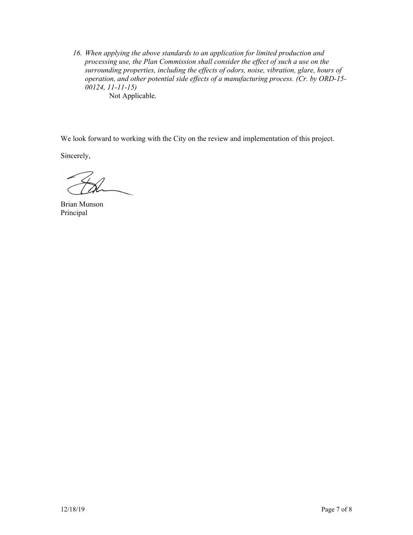*16. When applying the above standards to an application for limited production and processing use, the Plan Commission shall consider the effect of such a use on the surrounding properties, including the effects of odors, noise, vibration, glare, hours of operation, and other potential side effects of a manufacturing process. (Cr. by ORD-15- 00124, 11-11-15)*  Not Applicable.

We look forward to working with the City on the review and implementation of this project.

Sincerely,

Brian Munson Principal